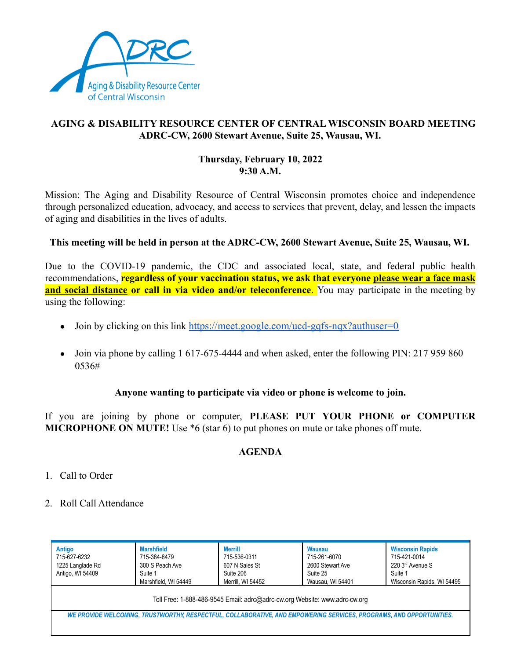

## **AGING & DISABILITY RESOURCE CENTER OF CENTRAL WISCONSIN BOARD MEETING ADRC-CW, 2600 Stewart Avenue, Suite 25, Wausau, WI.**

### **Thursday, February 10, 2022 9:30 A.M.**

Mission: The Aging and Disability Resource of Central Wisconsin promotes choice and independence through personalized education, advocacy, and access to services that prevent, delay, and lessen the impacts of aging and disabilities in the lives of adults.

### **This meeting will be held in person at the ADRC-CW, 2600 Stewart Avenue, Suite 25, Wausau, WI.**

Due to the COVID-19 pandemic, the CDC and associated local, state, and federal public health recommendations, **regardless of your vaccination status, we ask that everyone please wear a face mask and social distance or call in via video and/or teleconference**. You may participate in the meeting by using the following:

- Join by clicking on this link <https://meet.google.com/ucd-gqfs-nqx?authuser=0>
- Join via phone by calling 1 617-675-4444 and when asked, enter the following PIN: 217 959 860 0536#

### **Anyone wanting to participate via video or phone is welcome to join.**

If you are joining by phone or computer, **PLEASE PUT YOUR PHONE or COMPUTER MICROPHONE ON MUTE!** Use \*6 (star 6) to put phones on mute or take phones off mute.

# **AGENDA**

- 1. Call to Order
- 2. Roll Call Attendance

| Antigo<br>715-627-6232<br>1225 Langlade Rd<br>Antigo, WI 54409                                                      | <b>Marshfield</b><br>715-384-8479<br>300 S Peach Ave<br>Suite 1<br>Marshfield, WI 54449 | <b>Merrill</b><br>715-536-0311<br>607 N Sales St<br>Suite 206<br>Merrill, WI 54452 | <b>Wausau</b><br>715-261-6070<br>2600 Stewart Ave<br>Suite 25<br>Wausau, WI 54401<br>Toll Free: 1-888-486-9545 Email: adrc@adrc-cw.org Website: www.adrc-cw.org | <b>Wisconsin Rapids</b><br>715-421-0014<br>220 3rd Avenue S<br>Suite 1<br>Wisconsin Rapids, WI 54495 |  |
|---------------------------------------------------------------------------------------------------------------------|-----------------------------------------------------------------------------------------|------------------------------------------------------------------------------------|-----------------------------------------------------------------------------------------------------------------------------------------------------------------|------------------------------------------------------------------------------------------------------|--|
| WE PROVIDE WELCOMING, TRUSTWORTHY, RESPECTFUL, COLLABORATIVE, AND EMPOWERING SERVICES, PROGRAMS, AND OPPORTUNITIES. |                                                                                         |                                                                                    |                                                                                                                                                                 |                                                                                                      |  |